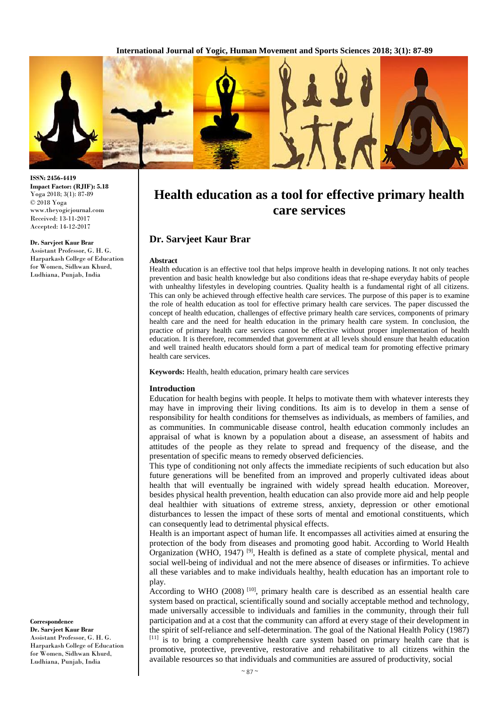

**ISSN: 2456-4419 Impact Factor: (RJIF): 5.18** Yoga 2018; 3(1): 87-89 © 2018 Yoga www.theyogicjournal.com Received: 13-11-2017 Accepted: 14-12-2017

#### **Dr. Sarvjeet Kaur Brar**

Assistant Professor, G. H. G. Harparkash College of Education for Women, Sidhwan Khurd, Ludhiana, Punjab, India

**Correspondence Dr. Sarvjeet Kaur Brar**  Assistant Professor, G. H. G. Harparkash College of Education for Women, Sidhwan Khurd, Ludhiana, Punjab, India

# **Health education as a tool for effective primary health care services**

# **Dr. Sarvjeet Kaur Brar**

#### **Abstract**

Health education is an effective tool that helps improve health in developing nations. It not only teaches prevention and basic health knowledge but also conditions ideas that re-shape everyday habits of people with unhealthy lifestyles in developing countries. Quality health is a fundamental right of all citizens. This can only be achieved through effective health care services. The purpose of this paper is to examine the role of health education as tool for effective primary health care services. The paper discussed the concept of health education, challenges of effective primary health care services, components of primary health care and the need for health education in the primary health care system. In conclusion, the practice of primary health care services cannot be effective without proper implementation of health education. It is therefore, recommended that government at all levels should ensure that health education and well trained health educators should form a part of medical team for promoting effective primary health care services.

**Keywords:** Health, health education, primary health care services

#### **Introduction**

Education for health begins with people. It helps to motivate them with whatever interests they may have in improving their living conditions. Its aim is to develop in them a sense of responsibility for health conditions for themselves as individuals, as members of families, and as communities. In communicable disease control, health education commonly includes an appraisal of what is known by a population about a disease, an assessment of habits and attitudes of the people as they relate to spread and frequency of the disease, and the presentation of specific means to remedy observed deficiencies.

This type of conditioning not only affects the immediate recipients of such education but also future generations will be benefited from an improved and properly cultivated ideas about health that will eventually be ingrained with widely spread health education. Moreover, besides physical health prevention, health education can also provide more aid and help people deal healthier with situations of extreme stress, anxiety, depression or other emotional disturbances to lessen the impact of these sorts of mental and emotional constituents, which can consequently lead to detrimental physical effects.

Health is an important aspect of human life. It encompasses all activities aimed at ensuring the protection of the body from diseases and promoting good habit. According to World Health Organization (WHO, 1947) <sup>[9]</sup>, Health is defined as a state of complete physical, mental and social well-being of individual and not the mere absence of diseases or infirmities. To achieve all these variables and to make individuals healthy, health education has an important role to play.

According to WHO  $(2008)$  [10], primary health care is described as an essential health care system based on practical, scientifically sound and socially acceptable method and technology, made universally accessible to individuals and families in the community, through their full participation and at a cost that the community can afford at every stage of their development in the spirit of self-reliance and self-determination. The goal of the National Health Policy (1987) [11] is to bring a comprehensive health care system based on primary health care that is promotive, protective, preventive, restorative and rehabilitative to all citizens within the available resources so that individuals and communities are assured of productivity, social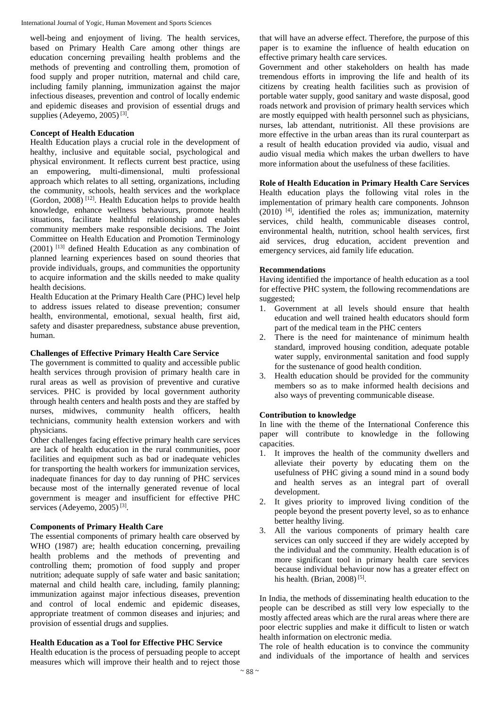well-being and enjoyment of living. The health services, based on Primary Health Care among other things are education concerning prevailing health problems and the methods of preventing and controlling them, promotion of food supply and proper nutrition, maternal and child care, including family planning, immunization against the major infectious diseases, prevention and control of locally endemic and epidemic diseases and provision of essential drugs and supplies (Adeyemo, 2005)<sup>[3]</sup>.

# **Concept of Health Education**

Health Education plays a crucial role in the development of healthy, inclusive and equitable social, psychological and physical environment. It reflects current best practice, using an empowering, multi-dimensional, multi professional approach which relates to all setting, organizations, including the community, schools, health services and the workplace (Gordon, 2008)<sup>[12]</sup>. Health Education helps to provide health knowledge, enhance wellness behaviours, promote health situations, facilitate healthful relationship and enables community members make responsible decisions. The Joint Committee on Health Education and Promotion Terminology (2001) [13] defined Health Education as any combination of planned learning experiences based on sound theories that provide individuals, groups, and communities the opportunity to acquire information and the skills needed to make quality health decisions.

Health Education at the Primary Health Care (PHC) level help to address issues related to disease prevention; consumer health, environmental, emotional, sexual health, first aid, safety and disaster preparedness, substance abuse prevention, human.

### **Challenges of Effective Primary Health Care Service**

The government is committed to quality and accessible public health services through provision of primary health care in rural areas as well as provision of preventive and curative services. PHC is provided by local government authority through health centers and health posts and they are staffed by nurses, midwives, community health officers, health technicians, community health extension workers and with physicians.

Other challenges facing effective primary health care services are lack of health education in the rural communities, poor facilities and equipment such as bad or inadequate vehicles for transporting the health workers for immunization services, inadequate finances for day to day running of PHC services because most of the internally generated revenue of local government is meager and insufficient for effective PHC services (Adeyemo, 2005)<sup>[3]</sup>.

#### **Components of Primary Health Care**

The essential components of primary health care observed by WHO (1987) are; health education concerning, prevailing health problems and the methods of preventing and controlling them; promotion of food supply and proper nutrition; adequate supply of safe water and basic sanitation; maternal and child health care, including, family planning; immunization against major infectious diseases, prevention and control of local endemic and epidemic diseases, appropriate treatment of common diseases and injuries; and provision of essential drugs and supplies.

# **Health Education as a Tool for Effective PHC Service**

Health education is the process of persuading people to accept measures which will improve their health and to reject those

that will have an adverse effect. Therefore, the purpose of this paper is to examine the influence of health education on effective primary health care services.

Government and other stakeholders on health has made tremendous efforts in improving the life and health of its citizens by creating health facilities such as provision of portable water supply, good sanitary and waste disposal, good roads network and provision of primary health services which are mostly equipped with health personnel such as physicians, nurses, lab attendant, nutritionist. All these provisions are more effective in the urban areas than its rural counterpart as a result of health education provided via audio, visual and audio visual media which makes the urban dwellers to have more information about the usefulness of these facilities.

## **Role of Health Education in Primary Health Care Services**

Health education plays the following vital roles in the implementation of primary health care components. Johnson (2010) [4] , identified the roles as; immunization, maternity services, child health, communicable diseases control, environmental health, nutrition, school health services, first aid services, drug education, accident prevention and emergency services, aid family life education.

## **Recommendations**

Having identified the importance of health education as a tool for effective PHC system, the following recommendations are suggested;

- 1. Government at all levels should ensure that health education and well trained health educators should form part of the medical team in the PHC centers
- 2. There is the need for maintenance of minimum health standard, improved housing condition, adequate potable water supply, environmental sanitation and food supply for the sustenance of good health condition.
- 3. Health education should be provided for the community members so as to make informed health decisions and also ways of preventing communicable disease.

# **Contribution to knowledge**

In line with the theme of the International Conference this paper will contribute to knowledge in the following capacities.

- 1. It improves the health of the community dwellers and alleviate their poverty by educating them on the usefulness of PHC giving a sound mind in a sound body and health serves as an integral part of overall development.
- 2. It gives priority to improved living condition of the people beyond the present poverty level, so as to enhance better healthy living.
- 3. All the various components of primary health care services can only succeed if they are widely accepted by the individual and the community. Health education is of more significant tool in primary health care services because individual behaviour now has a greater effect on his health. (Brian, 2008)<sup>[5]</sup>.

In India, the methods of disseminating health education to the people can be described as still very low especially to the mostly affected areas which are the rural areas where there are poor electric supplies and make it difficult to listen or watch health information on electronic media.

The role of health education is to convince the community and individuals of the importance of health and services